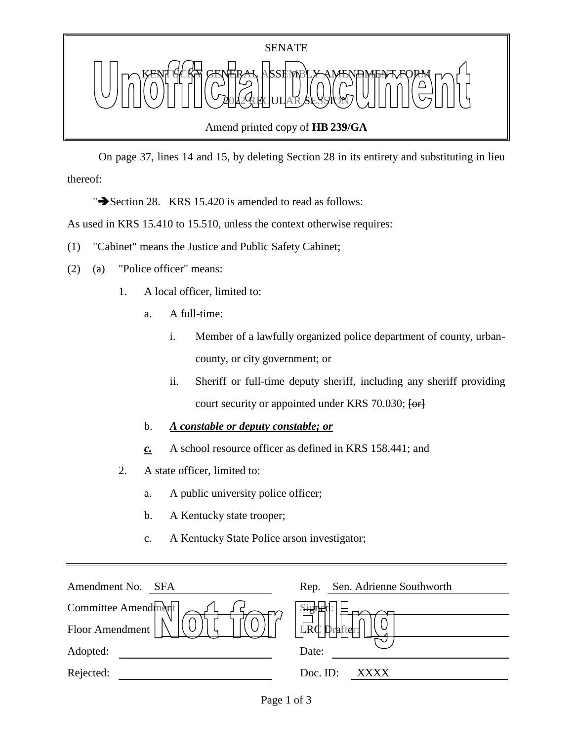

 On page 37, lines 14 and 15, by deleting Section 28 in its entirety and substituting in lieu thereof:

" $\rightarrow$  Section 28. KRS 15.420 is amended to read as follows:

As used in KRS 15.410 to 15.510, unless the context otherwise requires:

- (1) "Cabinet" means the Justice and Public Safety Cabinet;
- (2) (a) "Police officer" means:
	- 1. A local officer, limited to:
		- a. A full-time:
			- i. Member of a lawfully organized police department of county, urbancounty, or city government; or
			- ii. Sheriff or full-time deputy sheriff, including any sheriff providing court security or appointed under KRS 70.030; [or]
		- b. *A constable or deputy constable; or*
		- *c.* A school resource officer as defined in KRS 158.441; and
	- 2. A state officer, limited to:
		- a. A public university police officer;
		- b. A Kentucky state trooper;
		- c. A Kentucky State Police arson investigator;

| Amendment No.<br><b>SFA</b> | Sen. Adrienne Southworth<br>Rep.       |
|-----------------------------|----------------------------------------|
| Committee Amendment         |                                        |
| Floor Amendment             | $L\overline{R}C$<br>' <b>D</b> rafter: |
| Adopted:                    | Date:                                  |
| Rejected:                   | Doc. ID:<br>XXXX.                      |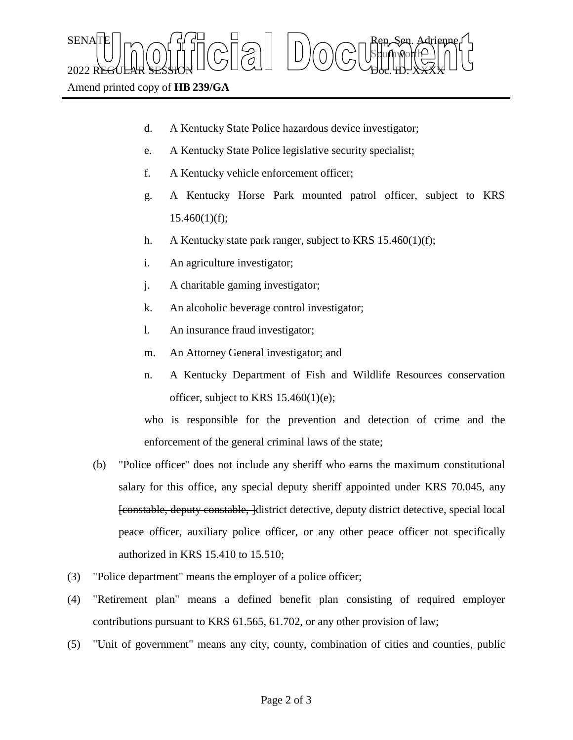$\text{SENA}[\mathbb{E} | \mid_{\mathsf{T}} \frown \bigcap_{\mathsf{S}} \mathsf{G}] \frown \bigcup_{\mathsf{S}} \bigcap_{\mathsf{S}} \bigcap_{\mathsf{S}} \bigcap_{\mathsf{S}} \bigcap_{\mathsf{S}} \bigcap_{\mathsf{S}} \mathsf{G} \mathsf{G} \bigcap_{\mathsf{S}} \mathsf{G} \mathsf{G} \bigcap_{\mathsf{S}} \mathsf{G} \bigcap_{\mathsf{S}} \mathsf{G} \bigcap_{\mathsf{S}} \mathsf{G} \bigcap_{\mathsf{S}} \mathsf{G} \bigcap_{\mathsf{S}} \mathsf{G} \big$ Sbufhworth  $2022$  REGULAR SESSION DOLLOURED DO COURT TO CHARLED.  $\chi_{\rm{H}}$ 

Amend printed copy of **HB 239/GA**

- d. A Kentucky State Police hazardous device investigator;
- e. A Kentucky State Police legislative security specialist;
- f. A Kentucky vehicle enforcement officer;
- g. A Kentucky Horse Park mounted patrol officer, subject to KRS  $15.460(1)(f);$
- h. A Kentucky state park ranger, subject to KRS 15.460(1)(f);
- i. An agriculture investigator;
- j. A charitable gaming investigator;
- k. An alcoholic beverage control investigator;
- l. An insurance fraud investigator;
- m. An Attorney General investigator; and
- n. A Kentucky Department of Fish and Wildlife Resources conservation officer, subject to KRS 15.460(1)(e);

who is responsible for the prevention and detection of crime and the enforcement of the general criminal laws of the state;

- (b) "Police officer" does not include any sheriff who earns the maximum constitutional salary for this office, any special deputy sheriff appointed under KRS 70.045, any **[constable, deputy constable, ]district detective, deputy district detective, special local** peace officer, auxiliary police officer, or any other peace officer not specifically authorized in KRS 15.410 to 15.510;
- (3) "Police department" means the employer of a police officer;
- (4) "Retirement plan" means a defined benefit plan consisting of required employer contributions pursuant to KRS 61.565, 61.702, or any other provision of law;
- (5) "Unit of government" means any city, county, combination of cities and counties, public